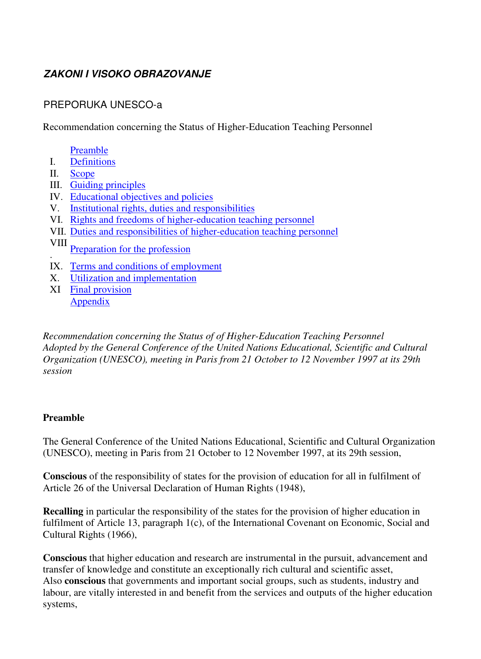## **ZAKONI I VISOKO OBRAZOVANJE**

## PREPORUKA UNESCO-a

Recommendation concerning the Status of Higher-Education Teaching Personnel

- Preamble
- I. Definitions
- II. Scope
- III. Guiding principles
- IV. Educational objectives and policies
- V. Institutional rights, duties and responsibilities
- VI. Rights and freedoms of higher-education teaching personnel
- VII. Duties and responsibilities of higher-education teaching personnel
- VIII Preparation for the profession
- IX. Terms and conditions of employment
- X. Utilization and implementation
- XI Final provision Appendix

*Recommendation concerning the Status of of Higher-Education Teaching Personnel Adopted by the General Conference of the United Nations Educational, Scientific and Cultural Organization (UNESCO), meeting in Paris from 21 October to 12 November 1997 at its 29th session*

### **Preamble**

The General Conference of the United Nations Educational, Scientific and Cultural Organization (UNESCO), meeting in Paris from 21 October to 12 November 1997, at its 29th session,

**Conscious** of the responsibility of states for the provision of education for all in fulfilment of Article 26 of the Universal Declaration of Human Rights (1948),

**Recalling** in particular the responsibility of the states for the provision of higher education in fulfilment of Article 13, paragraph 1(c), of the International Covenant on Economic, Social and Cultural Rights (1966),

**Conscious** that higher education and research are instrumental in the pursuit, advancement and transfer of knowledge and constitute an exceptionally rich cultural and scientific asset, Also **conscious** that governments and important social groups, such as students, industry and labour, are vitally interested in and benefit from the services and outputs of the higher education systems,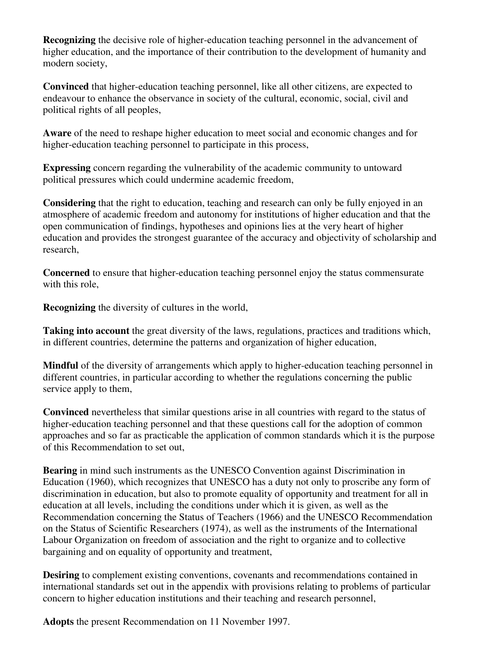**Recognizing** the decisive role of higher-education teaching personnel in the advancement of higher education, and the importance of their contribution to the development of humanity and modern society,

**Convinced** that higher-education teaching personnel, like all other citizens, are expected to endeavour to enhance the observance in society of the cultural, economic, social, civil and political rights of all peoples,

**Aware** of the need to reshape higher education to meet social and economic changes and for higher-education teaching personnel to participate in this process,

**Expressing** concern regarding the vulnerability of the academic community to untoward political pressures which could undermine academic freedom,

**Considering** that the right to education, teaching and research can only be fully enjoyed in an atmosphere of academic freedom and autonomy for institutions of higher education and that the open communication of findings, hypotheses and opinions lies at the very heart of higher education and provides the strongest guarantee of the accuracy and objectivity of scholarship and research,

**Concerned** to ensure that higher-education teaching personnel enjoy the status commensurate with this role.

**Recognizing** the diversity of cultures in the world,

**Taking into account** the great diversity of the laws, regulations, practices and traditions which, in different countries, determine the patterns and organization of higher education,

**Mindful** of the diversity of arrangements which apply to higher-education teaching personnel in different countries, in particular according to whether the regulations concerning the public service apply to them,

**Convinced** nevertheless that similar questions arise in all countries with regard to the status of higher-education teaching personnel and that these questions call for the adoption of common approaches and so far as practicable the application of common standards which it is the purpose of this Recommendation to set out,

**Bearing** in mind such instruments as the UNESCO Convention against Discrimination in Education (1960), which recognizes that UNESCO has a duty not only to proscribe any form of discrimination in education, but also to promote equality of opportunity and treatment for all in education at all levels, including the conditions under which it is given, as well as the Recommendation concerning the Status of Teachers (1966) and the UNESCO Recommendation on the Status of Scientific Researchers (1974), as well as the instruments of the International Labour Organization on freedom of association and the right to organize and to collective bargaining and on equality of opportunity and treatment,

**Desiring** to complement existing conventions, covenants and recommendations contained in international standards set out in the appendix with provisions relating to problems of particular concern to higher education institutions and their teaching and research personnel,

**Adopts** the present Recommendation on 11 November 1997.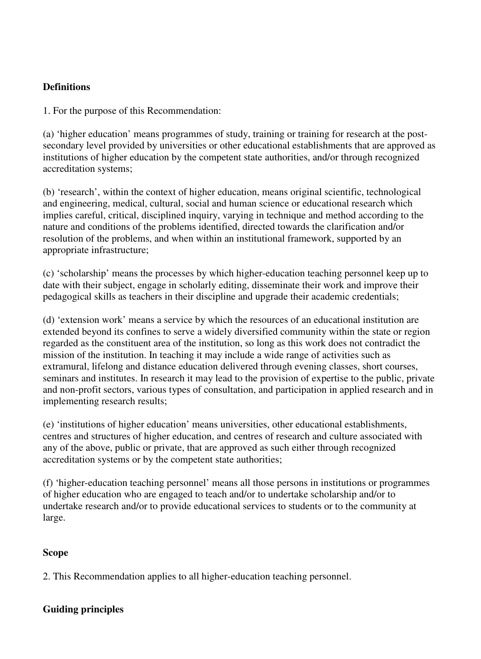#### **Definitions**

1. For the purpose of this Recommendation:

(a) 'higher education' means programmes of study, training or training for research at the postsecondary level provided by universities or other educational establishments that are approved as institutions of higher education by the competent state authorities, and/or through recognized accreditation systems;

(b) 'research', within the context of higher education, means original scientific, technological and engineering, medical, cultural, social and human science or educational research which implies careful, critical, disciplined inquiry, varying in technique and method according to the nature and conditions of the problems identified, directed towards the clarification and/or resolution of the problems, and when within an institutional framework, supported by an appropriate infrastructure;

(c) 'scholarship' means the processes by which higher-education teaching personnel keep up to date with their subject, engage in scholarly editing, disseminate their work and improve their pedagogical skills as teachers in their discipline and upgrade their academic credentials;

(d) 'extension work' means a service by which the resources of an educational institution are extended beyond its confines to serve a widely diversified community within the state or region regarded as the constituent area of the institution, so long as this work does not contradict the mission of the institution. In teaching it may include a wide range of activities such as extramural, lifelong and distance education delivered through evening classes, short courses, seminars and institutes. In research it may lead to the provision of expertise to the public, private and non-profit sectors, various types of consultation, and participation in applied research and in implementing research results;

(e) 'institutions of higher education' means universities, other educational establishments, centres and structures of higher education, and centres of research and culture associated with any of the above, public or private, that are approved as such either through recognized accreditation systems or by the competent state authorities;

(f) 'higher-education teaching personnel' means all those persons in institutions or programmes of higher education who are engaged to teach and/or to undertake scholarship and/or to undertake research and/or to provide educational services to students or to the community at large.

#### **Scope**

2. This Recommendation applies to all higher-education teaching personnel.

#### **Guiding principles**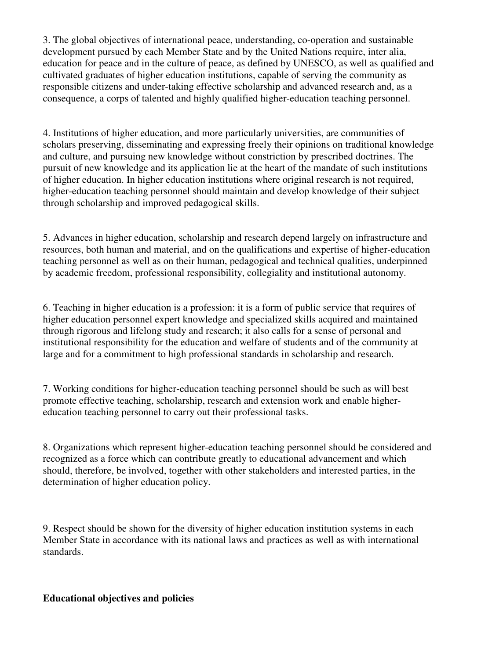3. The global objectives of international peace, understanding, co-operation and sustainable development pursued by each Member State and by the United Nations require, inter alia, education for peace and in the culture of peace, as defined by UNESCO, as well as qualified and cultivated graduates of higher education institutions, capable of serving the community as responsible citizens and under-taking effective scholarship and advanced research and, as a consequence, a corps of talented and highly qualified higher-education teaching personnel.

4. Institutions of higher education, and more particularly universities, are communities of scholars preserving, disseminating and expressing freely their opinions on traditional knowledge and culture, and pursuing new knowledge without constriction by prescribed doctrines. The pursuit of new knowledge and its application lie at the heart of the mandate of such institutions of higher education. In higher education institutions where original research is not required, higher-education teaching personnel should maintain and develop knowledge of their subject through scholarship and improved pedagogical skills.

5. Advances in higher education, scholarship and research depend largely on infrastructure and resources, both human and material, and on the qualifications and expertise of higher-education teaching personnel as well as on their human, pedagogical and technical qualities, underpinned by academic freedom, professional responsibility, collegiality and institutional autonomy.

6. Teaching in higher education is a profession: it is a form of public service that requires of higher education personnel expert knowledge and specialized skills acquired and maintained through rigorous and lifelong study and research; it also calls for a sense of personal and institutional responsibility for the education and welfare of students and of the community at large and for a commitment to high professional standards in scholarship and research.

7. Working conditions for higher-education teaching personnel should be such as will best promote effective teaching, scholarship, research and extension work and enable highereducation teaching personnel to carry out their professional tasks.

8. Organizations which represent higher-education teaching personnel should be considered and recognized as a force which can contribute greatly to educational advancement and which should, therefore, be involved, together with other stakeholders and interested parties, in the determination of higher education policy.

9. Respect should be shown for the diversity of higher education institution systems in each Member State in accordance with its national laws and practices as well as with international standards.

#### **Educational objectives and policies**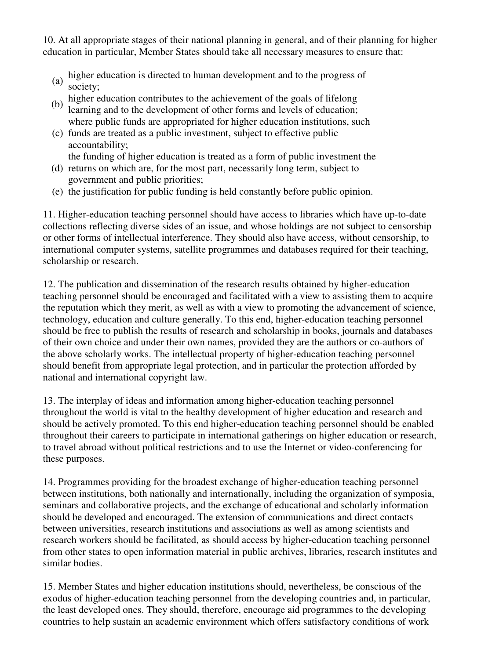10. At all appropriate stages of their national planning in general, and of their planning for higher education in particular, Member States should take all necessary measures to ensure that:

- (a) higher education is directed to human development and to the progress of society: society;
- (b) higher education contributes to the achievement of the goals of lifelong<br>location condition to the development of other forms and levels of educations
- learning and to the development of other forms and levels of education; where public funds are appropriated for higher education institutions, such
- (c) funds are treated as a public investment, subject to effective public accountability; the funding of higher education is treated as a form of public investment the
- (d) returns on which are, for the most part, necessarily long term, subject to government and public priorities;
- (e) the justification for public funding is held constantly before public opinion.

11. Higher-education teaching personnel should have access to libraries which have up-to-date collections reflecting diverse sides of an issue, and whose holdings are not subject to censorship or other forms of intellectual interference. They should also have access, without censorship, to international computer systems, satellite programmes and databases required for their teaching, scholarship or research.

12. The publication and dissemination of the research results obtained by higher-education teaching personnel should be encouraged and facilitated with a view to assisting them to acquire the reputation which they merit, as well as with a view to promoting the advancement of science, technology, education and culture generally. To this end, higher-education teaching personnel should be free to publish the results of research and scholarship in books, journals and databases of their own choice and under their own names, provided they are the authors or co-authors of the above scholarly works. The intellectual property of higher-education teaching personnel should benefit from appropriate legal protection, and in particular the protection afforded by national and international copyright law.

13. The interplay of ideas and information among higher-education teaching personnel throughout the world is vital to the healthy development of higher education and research and should be actively promoted. To this end higher-education teaching personnel should be enabled throughout their careers to participate in international gatherings on higher education or research, to travel abroad without political restrictions and to use the Internet or video-conferencing for these purposes.

14. Programmes providing for the broadest exchange of higher-education teaching personnel between institutions, both nationally and internationally, including the organization of symposia, seminars and collaborative projects, and the exchange of educational and scholarly information should be developed and encouraged. The extension of communications and direct contacts between universities, research institutions and associations as well as among scientists and research workers should be facilitated, as should access by higher-education teaching personnel from other states to open information material in public archives, libraries, research institutes and similar bodies.

15. Member States and higher education institutions should, nevertheless, be conscious of the exodus of higher-education teaching personnel from the developing countries and, in particular, the least developed ones. They should, therefore, encourage aid programmes to the developing countries to help sustain an academic environment which offers satisfactory conditions of work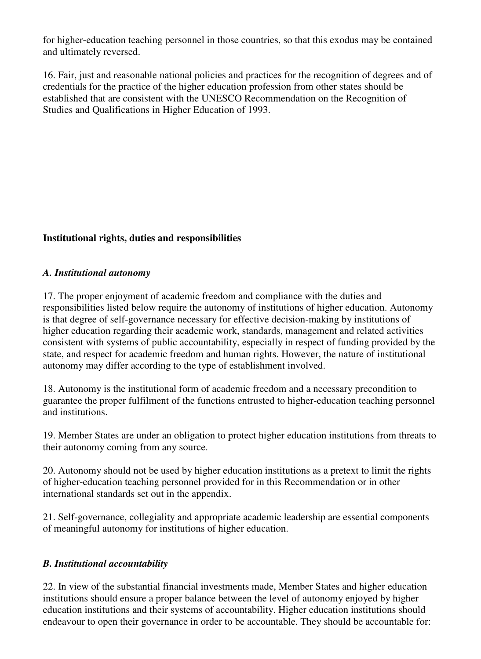for higher-education teaching personnel in those countries, so that this exodus may be contained and ultimately reversed.

16. Fair, just and reasonable national policies and practices for the recognition of degrees and of credentials for the practice of the higher education profession from other states should be established that are consistent with the UNESCO Recommendation on the Recognition of Studies and Qualifications in Higher Education of 1993.

### **Institutional rights, duties and responsibilities**

#### *A. Institutional autonomy*

17. The proper enjoyment of academic freedom and compliance with the duties and responsibilities listed below require the autonomy of institutions of higher education. Autonomy is that degree of self-governance necessary for effective decision-making by institutions of higher education regarding their academic work, standards, management and related activities consistent with systems of public accountability, especially in respect of funding provided by the state, and respect for academic freedom and human rights. However, the nature of institutional autonomy may differ according to the type of establishment involved.

18. Autonomy is the institutional form of academic freedom and a necessary precondition to guarantee the proper fulfilment of the functions entrusted to higher-education teaching personnel and institutions.

19. Member States are under an obligation to protect higher education institutions from threats to their autonomy coming from any source.

20. Autonomy should not be used by higher education institutions as a pretext to limit the rights of higher-education teaching personnel provided for in this Recommendation or in other international standards set out in the appendix.

21. Self-governance, collegiality and appropriate academic leadership are essential components of meaningful autonomy for institutions of higher education.

#### *B. Institutional accountability*

22. In view of the substantial financial investments made, Member States and higher education institutions should ensure a proper balance between the level of autonomy enjoyed by higher education institutions and their systems of accountability. Higher education institutions should endeavour to open their governance in order to be accountable. They should be accountable for: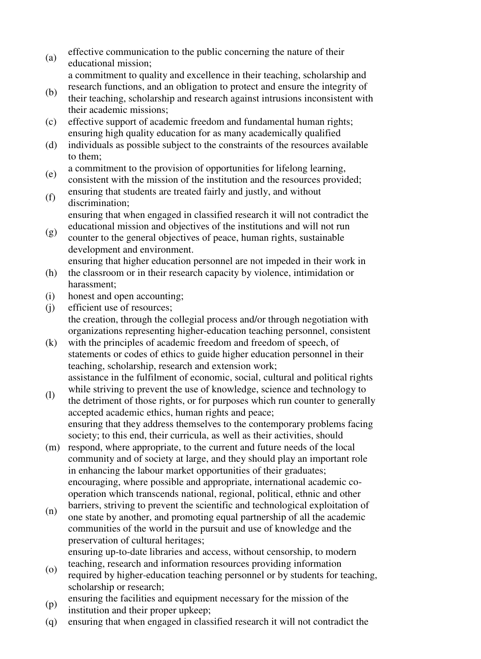- (a) effective communication to the public concerning the nature of their educational mission; a commitment to quality and excellence in their teaching, scholarship and
- (b) research functions, and an obligation to protect and ensure the integrity of their teaching, scholarship and research against intrusions inconsistent with their academic missions;
- (c) effective support of academic freedom and fundamental human rights; ensuring high quality education for as many academically qualified
- (d) individuals as possible subject to the constraints of the resources available to them;
- (e) a commitment to the provision of opportunities for lifelong learning,
- consistent with the mission of the institution and the resources provided;
- (f) ensuring that students are treated fairly and justly, and without discrimination; ensuring that when engaged in classified research it will not contradict the educational mission and objectives of the institutions and will not run
- (g) counter to the general objectives of peace, human rights, sustainable development and environment.

ensuring that higher education personnel are not impeded in their work in

- (h) the classroom or in their research capacity by violence, intimidation or harassment;
- (i) honest and open accounting;
- (j) efficient use of resources; the creation, through the collegial process and/or through negotiation with organizations representing higher-education teaching personnel, consistent
- (k) with the principles of academic freedom and freedom of speech, of statements or codes of ethics to guide higher education personnel in their teaching, scholarship, research and extension work; assistance in the fulfilment of economic, social, cultural and political rights
- (l) while striving to prevent the use of knowledge, science and technology to the detriment of those rights, or for purposes which run counter to generally accepted academic ethics, human rights and peace; ensuring that they address themselves to the contemporary problems facing society; to this end, their curricula, as well as their activities, should
- (m) respond, where appropriate, to the current and future needs of the local community and of society at large, and they should play an important role in enhancing the labour market opportunities of their graduates; encouraging, where possible and appropriate, international academic cooperation which transcends national, regional, political, ethnic and other
- (n) barriers, striving to prevent the scientific and technological exploitation of one state by another, and promoting equal partnership of all the academic communities of the world in the pursuit and use of knowledge and the preservation of cultural heritages; ensuring up-to-date libraries and access, without censorship, to modern

(o) teaching, research and information resources providing information required by higher-education teaching personnel or by students for teaching,

- scholarship or research;
- (p) ensuring the facilities and equipment necessary for the mission of the institution and their proper upkeep;
- (q) ensuring that when engaged in classified research it will not contradict the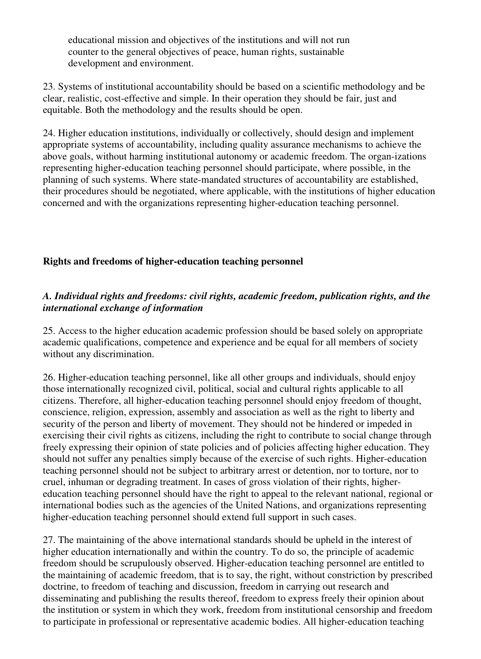educational mission and objectives of the institutions and will not run counter to the general objectives of peace, human rights, sustainable development and environment.

23. Systems of institutional accountability should be based on a scientific methodology and be clear, realistic, cost-effective and simple. In their operation they should be fair, just and equitable. Both the methodology and the results should be open.

24. Higher education institutions, individually or collectively, should design and implement appropriate systems of accountability, including quality assurance mechanisms to achieve the above goals, without harming institutional autonomy or academic freedom. The organ-izations representing higher-education teaching personnel should participate, where possible, in the planning of such systems. Where state-mandated structures of accountability are established, their procedures should be negotiated, where applicable, with the institutions of higher education concerned and with the organizations representing higher-education teaching personnel.

### **Rights and freedoms of higher-education teaching personnel**

### *A. Individual rights and freedoms: civil rights, academic freedom, publication rights, and the international exchange of information*

25. Access to the higher education academic profession should be based solely on appropriate academic qualifications, competence and experience and be equal for all members of society without any discrimination.

26. Higher-education teaching personnel, like all other groups and individuals, should enjoy those internationally recognized civil, political, social and cultural rights applicable to all citizens. Therefore, all higher-education teaching personnel should enjoy freedom of thought, conscience, religion, expression, assembly and association as well as the right to liberty and security of the person and liberty of movement. They should not be hindered or impeded in exercising their civil rights as citizens, including the right to contribute to social change through freely expressing their opinion of state policies and of policies affecting higher education. They should not suffer any penalties simply because of the exercise of such rights. Higher-education teaching personnel should not be subject to arbitrary arrest or detention, nor to torture, nor to cruel, inhuman or degrading treatment. In cases of gross violation of their rights, highereducation teaching personnel should have the right to appeal to the relevant national, regional or international bodies such as the agencies of the United Nations, and organizations representing higher-education teaching personnel should extend full support in such cases.

27. The maintaining of the above international standards should be upheld in the interest of higher education internationally and within the country. To do so, the principle of academic freedom should be scrupulously observed. Higher-education teaching personnel are entitled to the maintaining of academic freedom, that is to say, the right, without constriction by prescribed doctrine, to freedom of teaching and discussion, freedom in carrying out research and disseminating and publishing the results thereof, freedom to express freely their opinion about the institution or system in which they work, freedom from institutional censorship and freedom to participate in professional or representative academic bodies. All higher-education teaching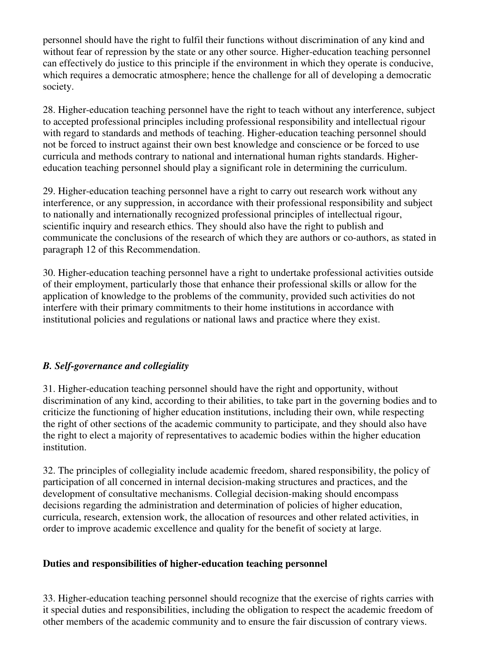personnel should have the right to fulfil their functions without discrimination of any kind and without fear of repression by the state or any other source. Higher-education teaching personnel can effectively do justice to this principle if the environment in which they operate is conducive, which requires a democratic atmosphere; hence the challenge for all of developing a democratic society.

28. Higher-education teaching personnel have the right to teach without any interference, subject to accepted professional principles including professional responsibility and intellectual rigour with regard to standards and methods of teaching. Higher-education teaching personnel should not be forced to instruct against their own best knowledge and conscience or be forced to use curricula and methods contrary to national and international human rights standards. Highereducation teaching personnel should play a significant role in determining the curriculum.

29. Higher-education teaching personnel have a right to carry out research work without any interference, or any suppression, in accordance with their professional responsibility and subject to nationally and internationally recognized professional principles of intellectual rigour, scientific inquiry and research ethics. They should also have the right to publish and communicate the conclusions of the research of which they are authors or co-authors, as stated in paragraph 12 of this Recommendation.

30. Higher-education teaching personnel have a right to undertake professional activities outside of their employment, particularly those that enhance their professional skills or allow for the application of knowledge to the problems of the community, provided such activities do not interfere with their primary commitments to their home institutions in accordance with institutional policies and regulations or national laws and practice where they exist.

### *B. Self-governance and collegiality*

31. Higher-education teaching personnel should have the right and opportunity, without discrimination of any kind, according to their abilities, to take part in the governing bodies and to criticize the functioning of higher education institutions, including their own, while respecting the right of other sections of the academic community to participate, and they should also have the right to elect a majority of representatives to academic bodies within the higher education institution.

32. The principles of collegiality include academic freedom, shared responsibility, the policy of participation of all concerned in internal decision-making structures and practices, and the development of consultative mechanisms. Collegial decision-making should encompass decisions regarding the administration and determination of policies of higher education, curricula, research, extension work, the allocation of resources and other related activities, in order to improve academic excellence and quality for the benefit of society at large.

### **Duties and responsibilities of higher-education teaching personnel**

33. Higher-education teaching personnel should recognize that the exercise of rights carries with it special duties and responsibilities, including the obligation to respect the academic freedom of other members of the academic community and to ensure the fair discussion of contrary views.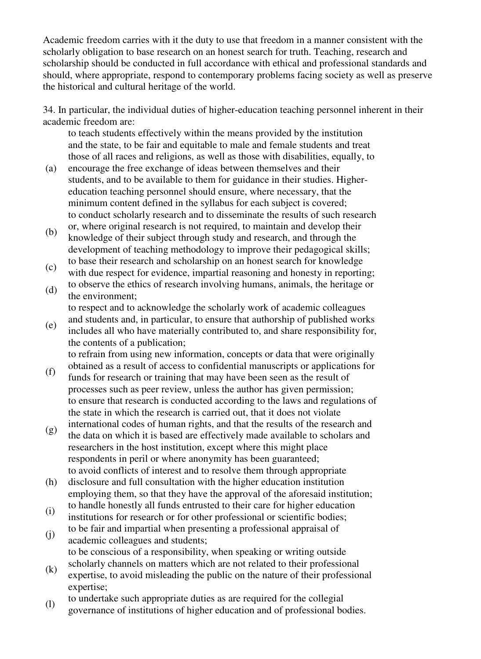Academic freedom carries with it the duty to use that freedom in a manner consistent with the scholarly obligation to base research on an honest search for truth. Teaching, research and scholarship should be conducted in full accordance with ethical and professional standards and should, where appropriate, respond to contemporary problems facing society as well as preserve the historical and cultural heritage of the world.

34. In particular, the individual duties of higher-education teaching personnel inherent in their academic freedom are:

to teach students effectively within the means provided by the institution and the state, to be fair and equitable to male and female students and treat those of all races and religions, as well as those with disabilities, equally, to

- (a) encourage the free exchange of ideas between themselves and their students, and to be available to them for guidance in their studies. Highereducation teaching personnel should ensure, where necessary, that the minimum content defined in the syllabus for each subject is covered; to conduct scholarly research and to disseminate the results of such research
- (b) or, where original research is not required, to maintain and develop their knowledge of their subject through study and research, and through the development of teaching methodology to improve their pedagogical skills;
- (c) to base their research and scholarship on an honest search for knowledge with due respect for evidence, impartial reasoning and honesty in reporting;
- (d) to observe the ethics of research involving humans, animals, the heritage or the environment; to respect and to acknowledge the scholarly work of academic colleagues
- (e) and students and, in particular, to ensure that authorship of published works includes all who have materially contributed to, and share responsibility for, the contents of a publication;

to refrain from using new information, concepts or data that were originally obtained as a result of access to confidential manuscripts or applications for

- (f) funds for research or training that may have been seen as the result of processes such as peer review, unless the author has given permission; to ensure that research is conducted according to the laws and regulations of the state in which the research is carried out, that it does not violate
- (g) international codes of human rights, and that the results of the research and the data on which it is based are effectively made available to scholars and researchers in the host institution, except where this might place respondents in peril or where anonymity has been guaranteed; to avoid conflicts of interest and to resolve them through appropriate
- (h) disclosure and full consultation with the higher education institution employing them, so that they have the approval of the aforesaid institution;
- (i) to handle honestly all funds entrusted to their care for higher education institutions for research or for other professional or scientific bodies;
- (j) to be fair and impartial when presenting a professional appraisal of academic colleagues and students; to be conscious of a responsibility, when speaking or writing outside
- (k) scholarly channels on matters which are not related to their professional expertise, to avoid misleading the public on the nature of their professional expertise;
- (l) to undertake such appropriate duties as are required for the collegial
- governance of institutions of higher education and of professional bodies.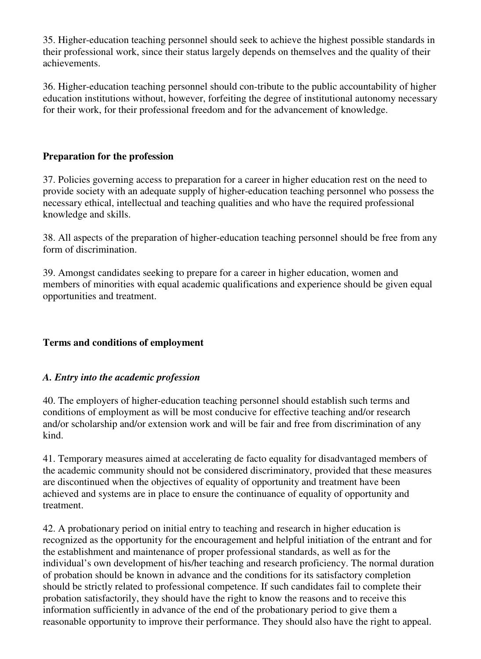35. Higher-education teaching personnel should seek to achieve the highest possible standards in their professional work, since their status largely depends on themselves and the quality of their achievements.

36. Higher-education teaching personnel should con-tribute to the public accountability of higher education institutions without, however, forfeiting the degree of institutional autonomy necessary for their work, for their professional freedom and for the advancement of knowledge.

### **Preparation for the profession**

37. Policies governing access to preparation for a career in higher education rest on the need to provide society with an adequate supply of higher-education teaching personnel who possess the necessary ethical, intellectual and teaching qualities and who have the required professional knowledge and skills.

38. All aspects of the preparation of higher-education teaching personnel should be free from any form of discrimination.

39. Amongst candidates seeking to prepare for a career in higher education, women and members of minorities with equal academic qualifications and experience should be given equal opportunities and treatment.

### **Terms and conditions of employment**

#### *A. Entry into the academic profession*

40. The employers of higher-education teaching personnel should establish such terms and conditions of employment as will be most conducive for effective teaching and/or research and/or scholarship and/or extension work and will be fair and free from discrimination of any kind.

41. Temporary measures aimed at accelerating de facto equality for disadvantaged members of the academic community should not be considered discriminatory, provided that these measures are discontinued when the objectives of equality of opportunity and treatment have been achieved and systems are in place to ensure the continuance of equality of opportunity and treatment.

42. A probationary period on initial entry to teaching and research in higher education is recognized as the opportunity for the encouragement and helpful initiation of the entrant and for the establishment and maintenance of proper professional standards, as well as for the individual's own development of his/her teaching and research proficiency. The normal duration of probation should be known in advance and the conditions for its satisfactory completion should be strictly related to professional competence. If such candidates fail to complete their probation satisfactorily, they should have the right to know the reasons and to receive this information sufficiently in advance of the end of the probationary period to give them a reasonable opportunity to improve their performance. They should also have the right to appeal.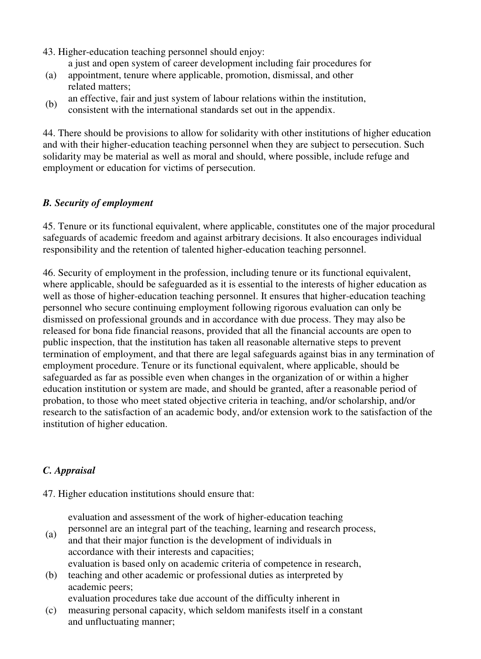43. Higher-education teaching personnel should enjoy:

a just and open system of career development including fair procedures for

- (a) appointment, tenure where applicable, promotion, dismissal, and other related matters;
- (b) an effective, fair and just system of labour relations within the institution,
- consistent with the international standards set out in the appendix.

44. There should be provisions to allow for solidarity with other institutions of higher education and with their higher-education teaching personnel when they are subject to persecution. Such solidarity may be material as well as moral and should, where possible, include refuge and employment or education for victims of persecution.

#### *B. Security of employment*

45. Tenure or its functional equivalent, where applicable, constitutes one of the major procedural safeguards of academic freedom and against arbitrary decisions. It also encourages individual responsibility and the retention of talented higher-education teaching personnel.

46. Security of employment in the profession, including tenure or its functional equivalent, where applicable, should be safeguarded as it is essential to the interests of higher education as well as those of higher-education teaching personnel. It ensures that higher-education teaching personnel who secure continuing employment following rigorous evaluation can only be dismissed on professional grounds and in accordance with due process. They may also be released for bona fide financial reasons, provided that all the financial accounts are open to public inspection, that the institution has taken all reasonable alternative steps to prevent termination of employment, and that there are legal safeguards against bias in any termination of employment procedure. Tenure or its functional equivalent, where applicable, should be safeguarded as far as possible even when changes in the organization of or within a higher education institution or system are made, and should be granted, after a reasonable period of probation, to those who meet stated objective criteria in teaching, and/or scholarship, and/or research to the satisfaction of an academic body, and/or extension work to the satisfaction of the institution of higher education.

### *C. Appraisal*

47. Higher education institutions should ensure that:

evaluation and assessment of the work of higher-education teaching personnel are an integral part of the teaching, learning and research process,

- (a) and that their major function is the development of individuals in accordance with their interests and capacities; evaluation is based only on academic criteria of competence in research,
- (b) teaching and other academic or professional duties as interpreted by academic peers;

evaluation procedures take due account of the difficulty inherent in

 $(c)$ measuring personal capacity, which seldom manifests itself in a constant and unfluctuating manner;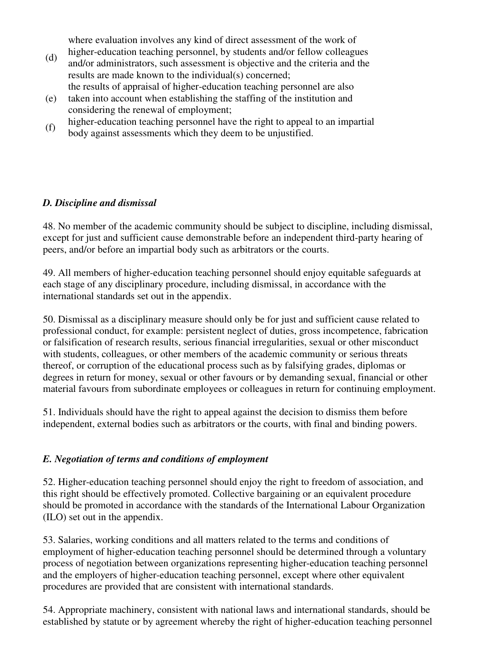where evaluation involves any kind of direct assessment of the work of

- (d) higher-education teaching personnel, by students and/or fellow colleagues and/or administrators, such assessment is objective and the criteria and the results are made known to the individual(s) concerned; the results of appraisal of higher-education teaching personnel are also
- (e) taken into account when establishing the staffing of the institution and considering the renewal of employment;
- (f) higher-education teaching personnel have the right to appeal to an impartial body against assessments which they deem to be unjustified.

#### *D. Discipline and dismissal*

48. No member of the academic community should be subject to discipline, including dismissal, except for just and sufficient cause demonstrable before an independent third-party hearing of peers, and/or before an impartial body such as arbitrators or the courts.

49. All members of higher-education teaching personnel should enjoy equitable safeguards at each stage of any disciplinary procedure, including dismissal, in accordance with the international standards set out in the appendix.

50. Dismissal as a disciplinary measure should only be for just and sufficient cause related to professional conduct, for example: persistent neglect of duties, gross incompetence, fabrication or falsification of research results, serious financial irregularities, sexual or other misconduct with students, colleagues, or other members of the academic community or serious threats thereof, or corruption of the educational process such as by falsifying grades, diplomas or degrees in return for money, sexual or other favours or by demanding sexual, financial or other material favours from subordinate employees or colleagues in return for continuing employment.

51. Individuals should have the right to appeal against the decision to dismiss them before independent, external bodies such as arbitrators or the courts, with final and binding powers.

#### *E. Negotiation of terms and conditions of employment*

52. Higher-education teaching personnel should enjoy the right to freedom of association, and this right should be effectively promoted. Collective bargaining or an equivalent procedure should be promoted in accordance with the standards of the International Labour Organization (ILO) set out in the appendix.

53. Salaries, working conditions and all matters related to the terms and conditions of employment of higher-education teaching personnel should be determined through a voluntary process of negotiation between organizations representing higher-education teaching personnel and the employers of higher-education teaching personnel, except where other equivalent procedures are provided that are consistent with international standards.

54. Appropriate machinery, consistent with national laws and international standards, should be established by statute or by agreement whereby the right of higher-education teaching personnel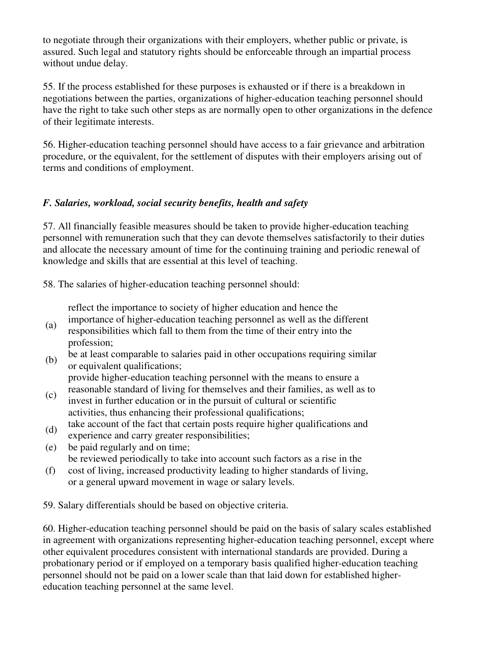to negotiate through their organizations with their employers, whether public or private, is assured. Such legal and statutory rights should be enforceable through an impartial process without undue delay.

55. If the process established for these purposes is exhausted or if there is a breakdown in negotiations between the parties, organizations of higher-education teaching personnel should have the right to take such other steps as are normally open to other organizations in the defence of their legitimate interests.

56. Higher-education teaching personnel should have access to a fair grievance and arbitration procedure, or the equivalent, for the settlement of disputes with their employers arising out of terms and conditions of employment.

### *F. Salaries, workload, social security benefits, health and safety*

57. All financially feasible measures should be taken to provide higher-education teaching personnel with remuneration such that they can devote themselves satisfactorily to their duties and allocate the necessary amount of time for the continuing training and periodic renewal of knowledge and skills that are essential at this level of teaching.

58. The salaries of higher-education teaching personnel should:

reflect the importance to society of higher education and hence the

- importance of higher-education teaching personnel as well as the different
- (a) responsibilities which fall to them from the time of their entry into the profession;
- (b) be at least comparable to salaries paid in other occupations requiring similar or equivalent qualifications;

provide higher-education teaching personnel with the means to ensure a reasonable standard of living for themselves and their families, as well as to

- (c) invest in further education or in the pursuit of cultural or scientific activities, thus enhancing their professional qualifications;
- (d) take account of the fact that certain posts require higher qualifications and
- experience and carry greater responsibilities;
- (e) be paid regularly and on time; be reviewed periodically to take into account such factors as a rise in the
- (f) cost of living, increased productivity leading to higher standards of living, or a general upward movement in wage or salary levels.

59. Salary differentials should be based on objective criteria.

60. Higher-education teaching personnel should be paid on the basis of salary scales established in agreement with organizations representing higher-education teaching personnel, except where other equivalent procedures consistent with international standards are provided. During a probationary period or if employed on a temporary basis qualified higher-education teaching personnel should not be paid on a lower scale than that laid down for established highereducation teaching personnel at the same level.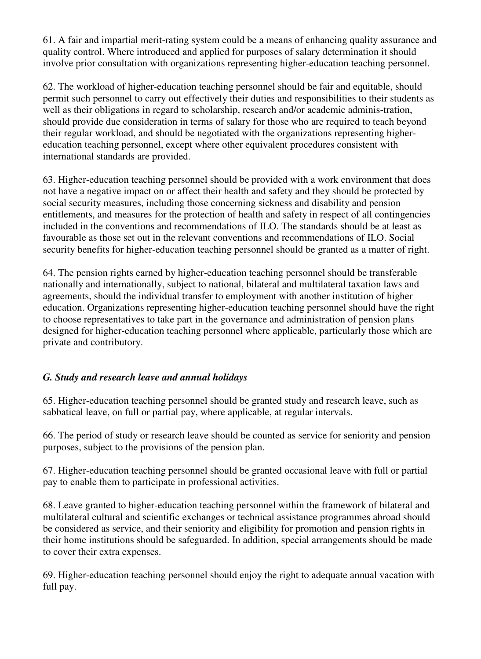61. A fair and impartial merit-rating system could be a means of enhancing quality assurance and quality control. Where introduced and applied for purposes of salary determination it should involve prior consultation with organizations representing higher-education teaching personnel.

62. The workload of higher-education teaching personnel should be fair and equitable, should permit such personnel to carry out effectively their duties and responsibilities to their students as well as their obligations in regard to scholarship, research and/or academic adminis-tration, should provide due consideration in terms of salary for those who are required to teach beyond their regular workload, and should be negotiated with the organizations representing highereducation teaching personnel, except where other equivalent procedures consistent with international standards are provided.

63. Higher-education teaching personnel should be provided with a work environment that does not have a negative impact on or affect their health and safety and they should be protected by social security measures, including those concerning sickness and disability and pension entitlements, and measures for the protection of health and safety in respect of all contingencies included in the conventions and recommendations of ILO. The standards should be at least as favourable as those set out in the relevant conventions and recommendations of ILO. Social security benefits for higher-education teaching personnel should be granted as a matter of right.

64. The pension rights earned by higher-education teaching personnel should be transferable nationally and internationally, subject to national, bilateral and multilateral taxation laws and agreements, should the individual transfer to employment with another institution of higher education. Organizations representing higher-education teaching personnel should have the right to choose representatives to take part in the governance and administration of pension plans designed for higher-education teaching personnel where applicable, particularly those which are private and contributory.

### *G. Study and research leave and annual holidays*

65. Higher-education teaching personnel should be granted study and research leave, such as sabbatical leave, on full or partial pay, where applicable, at regular intervals.

66. The period of study or research leave should be counted as service for seniority and pension purposes, subject to the provisions of the pension plan.

67. Higher-education teaching personnel should be granted occasional leave with full or partial pay to enable them to participate in professional activities.

68. Leave granted to higher-education teaching personnel within the framework of bilateral and multilateral cultural and scientific exchanges or technical assistance programmes abroad should be considered as service, and their seniority and eligibility for promotion and pension rights in their home institutions should be safeguarded. In addition, special arrangements should be made to cover their extra expenses.

69. Higher-education teaching personnel should enjoy the right to adequate annual vacation with full pay.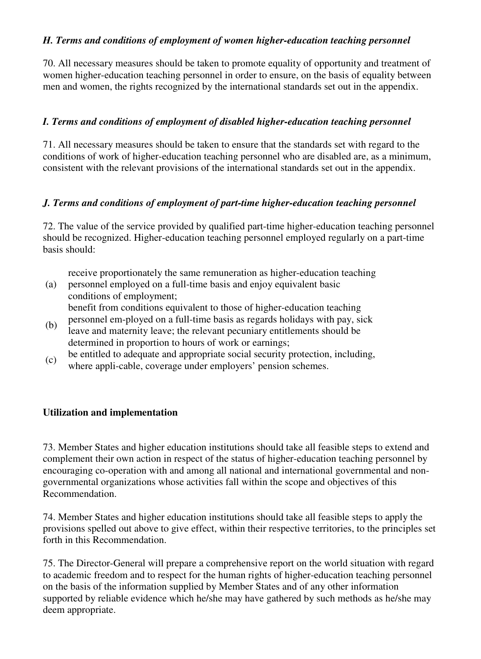#### *H. Terms and conditions of employment of women higher-education teaching personnel*

70. All necessary measures should be taken to promote equality of opportunity and treatment of women higher-education teaching personnel in order to ensure, on the basis of equality between men and women, the rights recognized by the international standards set out in the appendix.

### *I. Terms and conditions of employment of disabled higher-education teaching personnel*

71. All necessary measures should be taken to ensure that the standards set with regard to the conditions of work of higher-education teaching personnel who are disabled are, as a minimum, consistent with the relevant provisions of the international standards set out in the appendix.

### *J. Terms and conditions of employment of part-time higher-education teaching personnel*

72. The value of the service provided by qualified part-time higher-education teaching personnel should be recognized. Higher-education teaching personnel employed regularly on a part-time basis should:

receive proportionately the same remuneration as higher-education teaching

(a) personnel employed on a full-time basis and enjoy equivalent basic conditions of employment; benefit from conditions equivalent to those of higher-education teaching

- (b) personnel em-ployed on a full-time basis as regards holidays with pay, sick leave and maternity leave; the relevant pecuniary entitlements should be determined in proportion to hours of work or earnings;
- (c) be entitled to adequate and appropriate social security protection, including, where appli-cable, coverage under employers' pension schemes.

#### **Utilization and implementation**

73. Member States and higher education institutions should take all feasible steps to extend and complement their own action in respect of the status of higher-education teaching personnel by encouraging co-operation with and among all national and international governmental and nongovernmental organizations whose activities fall within the scope and objectives of this Recommendation.

74. Member States and higher education institutions should take all feasible steps to apply the provisions spelled out above to give effect, within their respective territories, to the principles set forth in this Recommendation.

75. The Director-General will prepare a comprehensive report on the world situation with regard to academic freedom and to respect for the human rights of higher-education teaching personnel on the basis of the information supplied by Member States and of any other information supported by reliable evidence which he/she may have gathered by such methods as he/she may deem appropriate.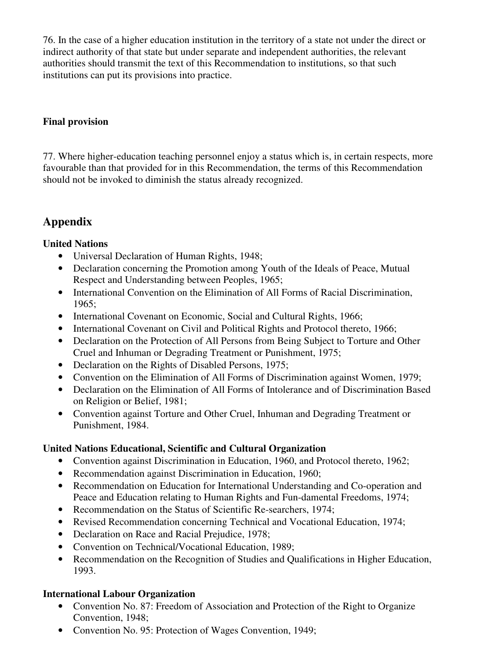76. In the case of a higher education institution in the territory of a state not under the direct or indirect authority of that state but under separate and independent authorities, the relevant authorities should transmit the text of this Recommendation to institutions, so that such institutions can put its provisions into practice.

### **Final provision**

77. Where higher-education teaching personnel enjoy a status which is, in certain respects, more favourable than that provided for in this Recommendation, the terms of this Recommendation should not be invoked to diminish the status already recognized.

# **Appendix**

### **United Nations**

- Universal Declaration of Human Rights, 1948;
- Declaration concerning the Promotion among Youth of the Ideals of Peace, Mutual Respect and Understanding between Peoples, 1965;
- International Convention on the Elimination of All Forms of Racial Discrimination, 1965;
- International Covenant on Economic, Social and Cultural Rights, 1966;
- International Covenant on Civil and Political Rights and Protocol thereto, 1966;
- Declaration on the Protection of All Persons from Being Subject to Torture and Other Cruel and Inhuman or Degrading Treatment or Punishment, 1975;
- Declaration on the Rights of Disabled Persons, 1975;
- Convention on the Elimination of All Forms of Discrimination against Women, 1979;
- Declaration on the Elimination of All Forms of Intolerance and of Discrimination Based on Religion or Belief, 1981;
- Convention against Torture and Other Cruel, Inhuman and Degrading Treatment or Punishment, 1984.

#### **United Nations Educational, Scientific and Cultural Organization**

- Convention against Discrimination in Education, 1960, and Protocol thereto, 1962;
- Recommendation against Discrimination in Education, 1960;
- Recommendation on Education for International Understanding and Co-operation and Peace and Education relating to Human Rights and Fun-damental Freedoms, 1974;
- Recommendation on the Status of Scientific Re-searchers, 1974;
- Revised Recommendation concerning Technical and Vocational Education, 1974;
- Declaration on Race and Racial Prejudice, 1978;
- Convention on Technical/Vocational Education, 1989;
- Recommendation on the Recognition of Studies and Qualifications in Higher Education, 1993.

### **International Labour Organization**

- Convention No. 87: Freedom of Association and Protection of the Right to Organize Convention, 1948;
- Convention No. 95: Protection of Wages Convention, 1949;